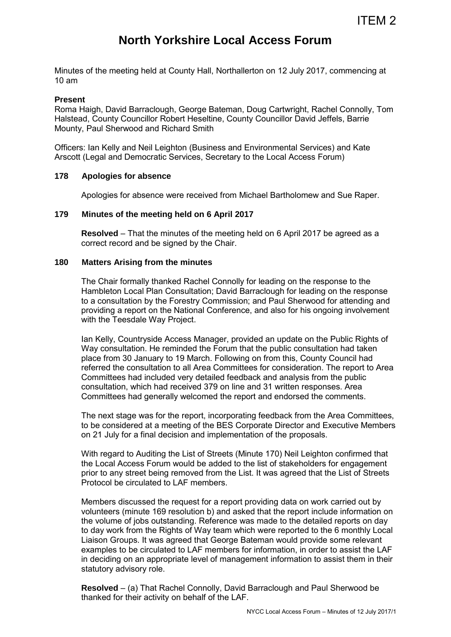# **North Yorkshire Local Access Forum**

Minutes of the meeting held at County Hall, Northallerton on 12 July 2017, commencing at 10 am

#### **Present**

Roma Haigh, David Barraclough, George Bateman, Doug Cartwright, Rachel Connolly, Tom Halstead, County Councillor Robert Heseltine, County Councillor David Jeffels, Barrie Mounty, Paul Sherwood and Richard Smith

Officers: Ian Kelly and Neil Leighton (Business and Environmental Services) and Kate Arscott (Legal and Democratic Services, Secretary to the Local Access Forum)

#### **178 Apologies for absence**

Apologies for absence were received from Michael Bartholomew and Sue Raper.

#### **179 Minutes of the meeting held on 6 April 2017**

**Resolved** – That the minutes of the meeting held on 6 April 2017 be agreed as a correct record and be signed by the Chair.

### **180 Matters Arising from the minutes**

 The Chair formally thanked Rachel Connolly for leading on the response to the Hambleton Local Plan Consultation; David Barraclough for leading on the response to a consultation by the Forestry Commission; and Paul Sherwood for attending and providing a report on the National Conference, and also for his ongoing involvement with the Teesdale Way Project.

 Ian Kelly, Countryside Access Manager, provided an update on the Public Rights of Way consultation. He reminded the Forum that the public consultation had taken place from 30 January to 19 March. Following on from this, County Council had referred the consultation to all Area Committees for consideration. The report to Area Committees had included very detailed feedback and analysis from the public consultation, which had received 379 on line and 31 written responses. Area Committees had generally welcomed the report and endorsed the comments.

 The next stage was for the report, incorporating feedback from the Area Committees, to be considered at a meeting of the BES Corporate Director and Executive Members on 21 July for a final decision and implementation of the proposals.

With regard to Auditing the List of Streets (Minute 170) Neil Leighton confirmed that the Local Access Forum would be added to the list of stakeholders for engagement prior to any street being removed from the List. It was agreed that the List of Streets Protocol be circulated to LAF members.

Members discussed the request for a report providing data on work carried out by volunteers (minute 169 resolution b) and asked that the report include information on the volume of jobs outstanding. Reference was made to the detailed reports on day to day work from the Rights of Way team which were reported to the 6 monthly Local Liaison Groups. It was agreed that George Bateman would provide some relevant examples to be circulated to LAF members for information, in order to assist the LAF in deciding on an appropriate level of management information to assist them in their statutory advisory role.

**Resolved** – (a) That Rachel Connolly, David Barraclough and Paul Sherwood be thanked for their activity on behalf of the LAF.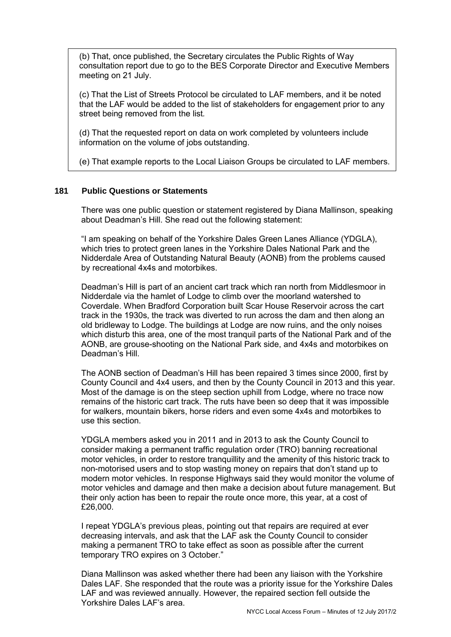(b) That, once published, the Secretary circulates the Public Rights of Way consultation report due to go to the BES Corporate Director and Executive Members meeting on 21 July.

(c) That the List of Streets Protocol be circulated to LAF members, and it be noted that the LAF would be added to the list of stakeholders for engagement prior to any street being removed from the list*.*

(d) That the requested report on data on work completed by volunteers include information on the volume of jobs outstanding.

(e) That example reports to the Local Liaison Groups be circulated to LAF members.

## **181 Public Questions or Statements**

There was one public question or statement registered by Diana Mallinson, speaking about Deadman's Hill. She read out the following statement:

"I am speaking on behalf of the Yorkshire Dales Green Lanes Alliance (YDGLA), which tries to protect green lanes in the Yorkshire Dales National Park and the Nidderdale Area of Outstanding Natural Beauty (AONB) from the problems caused by recreational 4x4s and motorbikes.

Deadman's Hill is part of an ancient cart track which ran north from Middlesmoor in Nidderdale via the hamlet of Lodge to climb over the moorland watershed to Coverdale. When Bradford Corporation built Scar House Reservoir across the cart track in the 1930s, the track was diverted to run across the dam and then along an old bridleway to Lodge. The buildings at Lodge are now ruins, and the only noises which disturb this area, one of the most tranquil parts of the National Park and of the AONB, are grouse-shooting on the National Park side, and 4x4s and motorbikes on Deadman's Hill.

The AONB section of Deadman's Hill has been repaired 3 times since 2000, first by County Council and 4x4 users, and then by the County Council in 2013 and this year. Most of the damage is on the steep section uphill from Lodge, where no trace now remains of the historic cart track. The ruts have been so deep that it was impossible for walkers, mountain bikers, horse riders and even some 4x4s and motorbikes to use this section.

YDGLA members asked you in 2011 and in 2013 to ask the County Council to consider making a permanent traffic regulation order (TRO) banning recreational motor vehicles, in order to restore tranquillity and the amenity of this historic track to non-motorised users and to stop wasting money on repairs that don't stand up to modern motor vehicles. In response Highways said they would monitor the volume of motor vehicles and damage and then make a decision about future management. But their only action has been to repair the route once more, this year, at a cost of £26,000.

I repeat YDGLA's previous pleas, pointing out that repairs are required at ever decreasing intervals, and ask that the LAF ask the County Council to consider making a permanent TRO to take effect as soon as possible after the current temporary TRO expires on 3 October."

Diana Mallinson was asked whether there had been any liaison with the Yorkshire Dales LAF. She responded that the route was a priority issue for the Yorkshire Dales LAF and was reviewed annually. However, the repaired section fell outside the Yorkshire Dales LAF's area.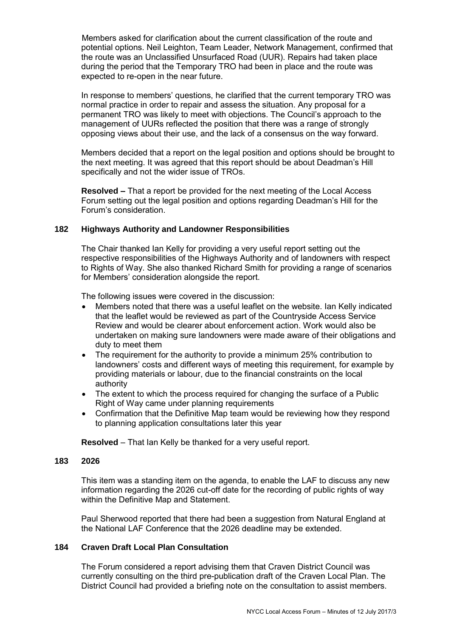Members asked for clarification about the current classification of the route and potential options. Neil Leighton, Team Leader, Network Management, confirmed that the route was an Unclassified Unsurfaced Road (UUR). Repairs had taken place during the period that the Temporary TRO had been in place and the route was expected to re-open in the near future.

In response to members' questions, he clarified that the current temporary TRO was normal practice in order to repair and assess the situation. Any proposal for a permanent TRO was likely to meet with objections. The Council's approach to the management of UURs reflected the position that there was a range of strongly opposing views about their use, and the lack of a consensus on the way forward.

Members decided that a report on the legal position and options should be brought to the next meeting. It was agreed that this report should be about Deadman's Hill specifically and not the wider issue of TROs.

 **Resolved –** That a report be provided for the next meeting of the Local Access Forum setting out the legal position and options regarding Deadman's Hill for the Forum's consideration.

### **182 Highways Authority and Landowner Responsibilities**

The Chair thanked Ian Kelly for providing a very useful report setting out the respective responsibilities of the Highways Authority and of landowners with respect to Rights of Way. She also thanked Richard Smith for providing a range of scenarios for Members' consideration alongside the report.

The following issues were covered in the discussion:

- Members noted that there was a useful leaflet on the website. Ian Kelly indicated that the leaflet would be reviewed as part of the Countryside Access Service Review and would be clearer about enforcement action. Work would also be undertaken on making sure landowners were made aware of their obligations and duty to meet them
- The requirement for the authority to provide a minimum 25% contribution to landowners' costs and different ways of meeting this requirement, for example by providing materials or labour, due to the financial constraints on the local authority
- The extent to which the process required for changing the surface of a Public Right of Way came under planning requirements
- Confirmation that the Definitive Map team would be reviewing how they respond to planning application consultations later this year

**Resolved** – That Ian Kelly be thanked for a very useful report.

#### **183 2026**

This item was a standing item on the agenda, to enable the LAF to discuss any new information regarding the 2026 cut-off date for the recording of public rights of way within the Definitive Map and Statement.

Paul Sherwood reported that there had been a suggestion from Natural England at the National LAF Conference that the 2026 deadline may be extended.

# **184 Craven Draft Local Plan Consultation**

The Forum considered a report advising them that Craven District Council was currently consulting on the third pre-publication draft of the Craven Local Plan. The District Council had provided a briefing note on the consultation to assist members.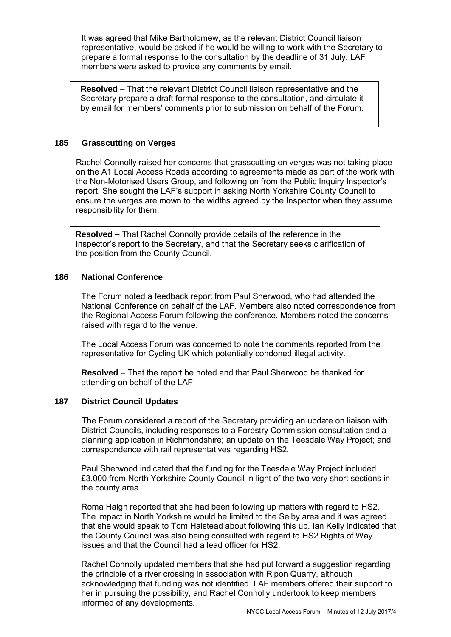It was agreed that Mike Bartholomew, as the relevant District Council liaison representative, would be asked if he would be willing to work with the Secretary to prepare a formal response to the consultation by the deadline of 31 July. LAF members were asked to provide any comments by email.

**Resolved** – That the relevant District Council liaison representative and the Secretary prepare a draft formal response to the consultation, and circulate it by email for members' comments prior to submission on behalf of the Forum.

#### **185 Grasscutting on Verges**

Rachel Connolly raised her concerns that grasscutting on verges was not taking place on the A1 Local Access Roads according to agreements made as part of the work with the Non-Motorised Users Group, and following on from the Public Inquiry Inspector's report. She sought the LAF's support in asking North Yorkshire County Council to ensure the verges are mown to the widths agreed by the Inspector when they assume responsibility for them.

**Resolved –** That Rachel Connolly provide details of the reference in the Inspector's report to the Secretary, and that the Secretary seeks clarification of the position from the County Council.

## **186 National Conference**

The Forum noted a feedback report from Paul Sherwood, who had attended the National Conference on behalf of the LAF. Members also noted correspondence from the Regional Access Forum following the conference. Members noted the concerns raised with regard to the venue.

The Local Access Forum was concerned to note the comments reported from the representative for Cycling UK which potentially condoned illegal activity.

**Resolved** – That the report be noted and that Paul Sherwood be thanked for attending on behalf of the LAF.

## **187 District Council Updates**

The Forum considered a report of the Secretary providing an update on liaison with District Councils, including responses to a Forestry Commission consultation and a planning application in Richmondshire; an update on the Teesdale Way Project; and correspondence with rail representatives regarding HS2*.* 

Paul Sherwood indicated that the funding for the Teesdale Way Project included £3,000 from North Yorkshire County Council in light of the two very short sections in the county area.

Roma Haigh reported that she had been following up matters with regard to HS2. The impact in North Yorkshire would be limited to the Selby area and it was agreed that she would speak to Tom Halstead about following this up. Ian Kelly indicated that the County Council was also being consulted with regard to HS2 Rights of Way issues and that the Council had a lead officer for HS2.

Rachel Connolly updated members that she had put forward a suggestion regarding the principle of a river crossing in association with Ripon Quarry, although acknowledging that funding was not identified. LAF members offered their support to her in pursuing the possibility, and Rachel Connolly undertook to keep members informed of any developments.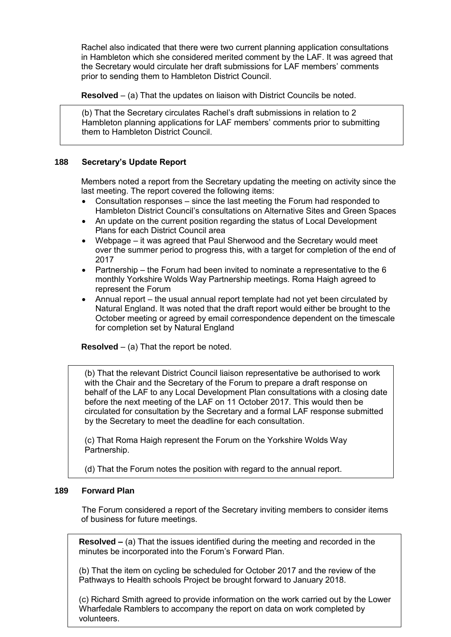Rachel also indicated that there were two current planning application consultations in Hambleton which she considered merited comment by the LAF. It was agreed that the Secretary would circulate her draft submissions for LAF members' comments prior to sending them to Hambleton District Council.

**Resolved** – (a) That the updates on liaison with District Councils be noted.

(b) That the Secretary circulates Rachel's draft submissions in relation to 2 Hambleton planning applications for LAF members' comments prior to submitting them to Hambleton District Council.

## **188 Secretary's Update Report**

 Members noted a report from the Secretary updating the meeting on activity since the last meeting. The report covered the following items:

- Consultation responses since the last meeting the Forum had responded to Hambleton District Council's consultations on Alternative Sites and Green Spaces
- An update on the current position regarding the status of Local Development Plans for each District Council area
- Webpage it was agreed that Paul Sherwood and the Secretary would meet over the summer period to progress this, with a target for completion of the end of 2017
- Partnership the Forum had been invited to nominate a representative to the  $6$ monthly Yorkshire Wolds Way Partnership meetings. Roma Haigh agreed to represent the Forum
- Annual report the usual annual report template had not yet been circulated by Natural England. It was noted that the draft report would either be brought to the October meeting or agreed by email correspondence dependent on the timescale for completion set by Natural England

**Resolved** – (a) That the report be noted.

(b) That the relevant District Council liaison representative be authorised to work with the Chair and the Secretary of the Forum to prepare a draft response on behalf of the LAF to any Local Development Plan consultations with a closing date before the next meeting of the LAF on 11 October 2017. This would then be circulated for consultation by the Secretary and a formal LAF response submitted by the Secretary to meet the deadline for each consultation.

(c) That Roma Haigh represent the Forum on the Yorkshire Wolds Way Partnership.

(d) That the Forum notes the position with regard to the annual report.

## **189 Forward Plan**

The Forum considered a report of the Secretary inviting members to consider items of business for future meetings.

**Resolved –** (a) That the issues identified during the meeting and recorded in the minutes be incorporated into the Forum's Forward Plan.

(b) That the item on cycling be scheduled for October 2017 and the review of the Pathways to Health schools Project be brought forward to January 2018.

Wharfedale Ramblers to accompany the report on data on work completed by (c) Richard Smith agreed to provide information on the work carried out by the Lower volunteers.